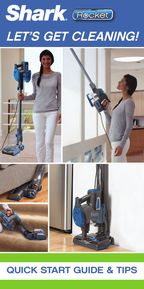





## QUICK START GUIDE & TIPS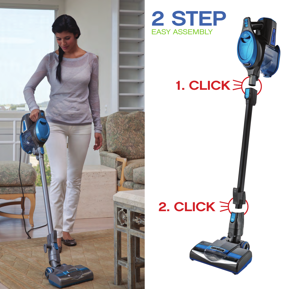



# 1. CLICK $\geq$

# 2. CLICK  $\geq 2$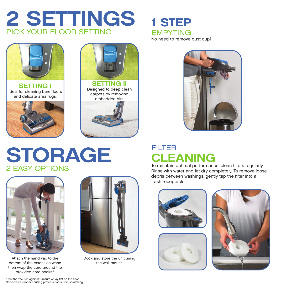



**SETTING I** Ideal for cleaning bare floors and delicate area rugs.





Designed to deep clean carpets by removing embedded dirt.



## STORAGE 2 EASY OPTIONS



Attach the hand vac to the bottom of the extension wand then wrap the cord around the provided cord hooks.\*



Dock and store the unit using the wall mount.

1 STEP EMPYTING No need to remove dust cup!

## FILTER CLEANING

To maintain optimal performance, clean filters regularly. Rinse with water and let dry completely. To remove loose debris between washings, gently tap the filter into a trash receptacle.







\*Rest the vacuum against furniture or lay flat on the floor. Non-scratch rubber housing protects floors from scratching.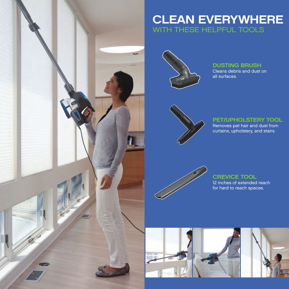## CLEAN EVERYWHERE WITH THESE HELPFUL TOOLS



#### DUSTING BRUSH

Cleans debris and dust on all surfaces.



#### PET/UPHOLSTERY TOOL

Removes pet hair and dust from curtains, upholstery, and stairs.



#### CREVICE TOOL 12 inches of extended reach for hard to reach spaces.